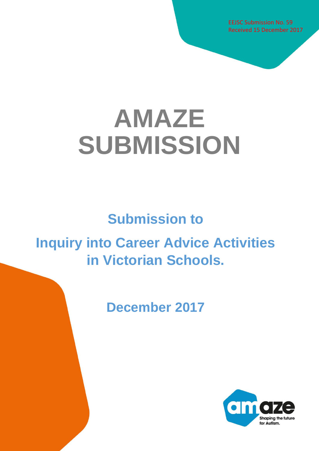EEJSC Submission No. 59 Received 15 December 2017

# **AMAZE SUBMISSION**

# **Submission to**

# **Inquiry into Career Advice Activities in Victorian Schools.**

**December 2017**

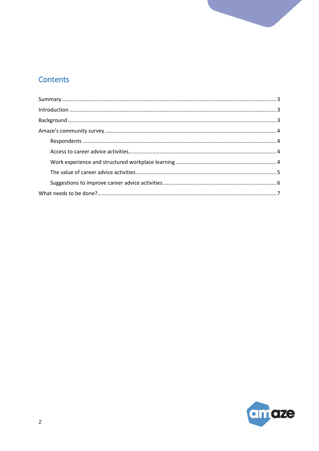# Contents

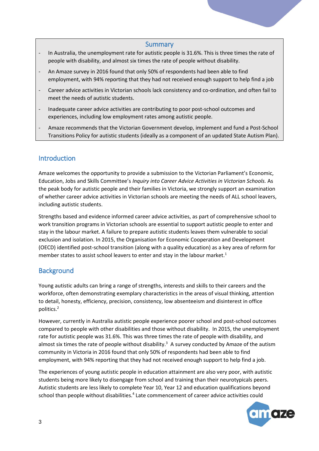#### **Summary**

- <span id="page-2-0"></span>In Australia, the unemployment rate for autistic people is 31.6%. This is three times the rate of people with disability, and almost six times the rate of people without disability.
- An Amaze survey in 2016 found that only 50% of respondents had been able to find employment, with 94% reporting that they had not received enough support to help find a job
- Career advice activities in Victorian schools lack consistency and co-ordination, and often fail to meet the needs of autistic students.
- Inadequate career advice activities are contributing to poor post-school outcomes and experiences, including low employment rates among autistic people.
- Amaze recommends that the Victorian Government develop, implement and fund a Post-School Transitions Policy for autistic students (ideally as a component of an updated State Autism Plan).

### <span id="page-2-1"></span>**Introduction**

Amaze welcomes the opportunity to provide a submission to the Victorian Parliament's Economic, Education, Jobs and Skills Committee's *Inquiry into Career Advice Activities in Victorian Schools.* As the peak body for autistic people and their families in Victoria, we strongly support an examination of whether career advice activities in Victorian schools are meeting the needs of ALL school leavers, including autistic students.

Strengths based and evidence informed career advice activities, as part of comprehensive school to work transition programs in Victorian schools are essential to support autistic people to enter and stay in the labour market. A failure to prepare autistic students leaves them vulnerable to social exclusion and isolation. In 2015, the Organisation for Economic Cooperation and Development (OECD) identified post-school transition (along with a quality education) as a key area of reform for member states to assist school leavers to enter and stay in the labour market.<sup>1</sup>

## <span id="page-2-2"></span>**Background**

Young autistic adults can bring a range of strengths, interests and skills to their careers and the workforce, often demonstrating exemplary characteristics in the areas of visual thinking, attention to detail, honesty, efficiency, precision, consistency, low absenteeism and disinterest in office politics.<sup>2</sup>

However, currently in Australia autistic people experience poorer school and post-school outcomes compared to people with other disabilities and those without disability. In 2015, the unemployment rate for autistic people was 31.6%. This was three times the rate of people with disability, and almost six times the rate of people without disability.<sup>3</sup> A survey conducted by Amaze of the autism community in Victoria in 2016 found that only 50% of respondents had been able to find employment, with 94% reporting that they had not received enough support to help find a job.

The experiences of young autistic people in education attainment are also very poor, with autistic students being more likely to disengage from school and training than their neurotypicals peers. Autistic students are less likely to complete Year 10, Year 12 and education qualifications beyond school than people without disabilities.<sup>4</sup> Late commencement of career advice activities could

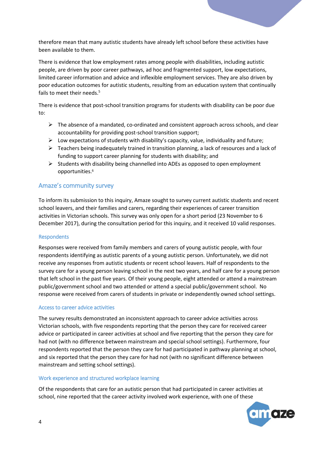therefore mean that many autistic students have already left school before these activities have been available to them.

There is evidence that low employment rates among people with disabilities, including autistic people, are driven by poor career pathways, ad hoc and fragmented support, low expectations, limited career information and advice and inflexible employment services. They are also driven by poor education outcomes for autistic students, resulting from an education system that continually fails to meet their needs.<sup>5</sup>

There is evidence that post-school transition programs for students with disability can be poor due to:

- $\triangleright$  The absence of a mandated, co-ordinated and consistent approach across schools, and clear accountability for providing post-school transition support;
- $\triangleright$  Low expectations of students with disability's capacity, value, individuality and future;
- $\triangleright$  Teachers being inadequately trained in transition planning, a lack of resources and a lack of funding to support career planning for students with disability; and
- $\triangleright$  Students with disability being channelled into ADEs as opposed to open employment opportunities.<sup>6</sup>

#### <span id="page-3-0"></span>Amaze's community survey

To inform its submission to this inquiry, Amaze sought to survey current autistic students and recent school leavers, and their families and carers, regarding their experiences of career transition activities in Victorian schools. This survey was only open for a short period (23 November to 6 December 2017), during the consultation period for this inquiry, and it received 10 valid responses.

#### <span id="page-3-1"></span>**Respondents**

Responses were received from family members and carers of young autistic people, with four respondents identifying as autistic parents of a young autistic person. Unfortunately, we did not receive any responses from autistic students or recent school leavers. Half of respondents to the survey care for a young person leaving school in the next two years, and half care for a young person that left school in the past five years. Of their young people, eight attended or attend a mainstream public/government school and two attended or attend a special public/government school. No response were received from carers of students in private or independently owned school settings.

#### <span id="page-3-2"></span>Access to career advice activities

The survey results demonstrated an inconsistent approach to career advice activities across Victorian schools, with five respondents reporting that the person they care for received career advice or participated in career activities at school and five reporting that the person they care for had not (with no difference between mainstream and special school settings). Furthermore, four respondents reported that the person they care for had participated in pathway planning at school, and six reported that the person they care for had not (with no significant difference between mainstream and setting school settings).

#### <span id="page-3-3"></span>Work experience and structured workplace learning

Of the respondents that care for an autistic person that had participated in career activities at school, nine reported that the career activity involved work experience, with one of these

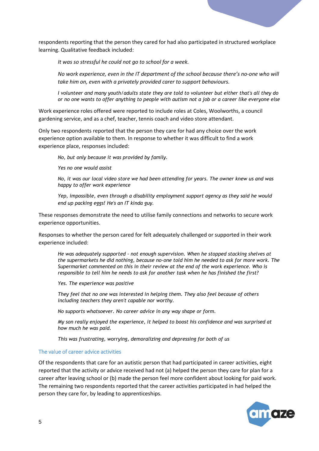

respondents reporting that the person they cared for had also participated in structured workplace learning. Qualitative feedback included:

*It was so stressful he could not go to school for a week.*

*No work experience, even in the IT department of the school because there's no-one who will take him on, even with a privately provided carer to support behaviours.*

*[I volunteer and many youth/adults state they are told to volunteer but either that's all they do](https://www.esurveycreator.com/?url=result_det&uid=1100632&f_rid=40562325)  [or no one wants to offer anything to people with autism not a job or a career like everyone else](https://www.esurveycreator.com/?url=result_det&uid=1100632&f_rid=40562325)*

Work experience roles offered were reported to include roles a[t Coles, Woolworths, a council](https://www.esurveycreator.com/?url=result_det&uid=1100632&f_rid=40561123)  [gardening service,](https://www.esurveycreator.com/?url=result_det&uid=1100632&f_rid=40561123) and as a [chef, teacher, tennis coach and video store attendant.](https://www.esurveycreator.com/?url=result_det&uid=1100632&f_rid=40561438) 

Only two respondents reported that the person they care for had any choice over the work experience option available to them. In response to whether it was difficult to find a work experience place, responses included:

*[No, but only because it was provided by family.](https://www.esurveycreator.com/?url=result_det&uid=1100632&f_rid=40561438)*

*[Yes no one would assist](https://www.esurveycreator.com/?url=result_det&uid=1100632&f_rid=40562325)*

*[No, it was our local video store we had been attending for years. The owner knew us and was](https://www.esurveycreator.com/?url=result_det&uid=1100632&f_rid=40602917)  [happy to offer work experience](https://www.esurveycreator.com/?url=result_det&uid=1100632&f_rid=40602917)*

*[Yep, impossible, even through a disability employment support agency as they said he would](https://www.esurveycreator.com/?url=result_det&uid=1100632&f_rid=40900770)  [end up packing eggs! He's an IT kinda guy](https://www.esurveycreator.com/?url=result_det&uid=1100632&f_rid=40900770).*

These responses demonstrate the need to utilise family connections and networks to secure work experience opportunities.

Responses to whether the person cared for felt adequately challenged or supported in their work experience included:

*He was adequately supported - [not enough supervision. When he stopped stacking shelves at](https://www.esurveycreator.com/?url=result_det&uid=1100632&f_rid=40561123)  [the supermarkets he did nothing, because no-one told him he needed to ask for more work. The](https://www.esurveycreator.com/?url=result_det&uid=1100632&f_rid=40561123)  [Supermarket commented on this in their review at the end of the work experience. Who is](https://www.esurveycreator.com/?url=result_det&uid=1100632&f_rid=40561123)  [responsible to tell him he needs to ask for another task when he has finished the first?](https://www.esurveycreator.com/?url=result_det&uid=1100632&f_rid=40561123)*

*[Yes. The experience was positive](https://www.esurveycreator.com/?url=result_det&uid=1100632&f_rid=40561438)*

*[They feel that no one was interested in helping them. They also feel because of others](https://www.esurveycreator.com/?url=result_det&uid=1100632&f_rid=40562325)  [including teachers they aren't capable nor worthy.](https://www.esurveycreator.com/?url=result_det&uid=1100632&f_rid=40562325)*

*[No supports whatsoever. No career advice in any way shape or form.](https://www.esurveycreator.com/?url=result_det&uid=1100632&f_rid=40563387)*

*[My son really enjoyed the experience, it helped to boost his confidence and was surprised at](https://www.esurveycreator.com/?url=result_det&uid=1100632&f_rid=40602917)  [how much he was paid.](https://www.esurveycreator.com/?url=result_det&uid=1100632&f_rid=40602917)*

*[This was frustrating, worrying, demoralizing and depressing for both of us](https://www.esurveycreator.com/?url=result_det&uid=1100632&f_rid=40900770)*

#### <span id="page-4-0"></span>The value of career advice activities

Of the respondents that care for an autistic person that had participated in career activities, eight reported that the activity or advice received had not (a) helped the person they care for plan for a career after leaving school or (b) made the person feel more confident about looking for paid work. The remaining two respondents reported that the career activities participated in had helped the person they care for, by leading to apprenticeships.

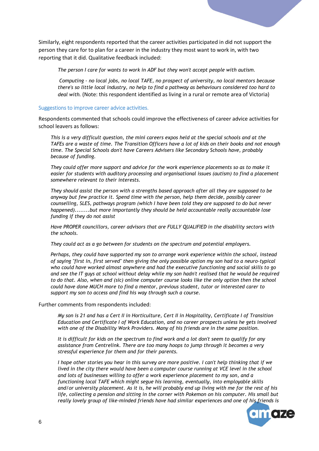Similarly, eight respondents reported that the career activities participated in did not support the person they care for to plan for a career in the industry they most want to work in, with two reporting that it did. Qualitative feedback included:

*[The person I care for wants to work in ADF but they won't accept people with autism](https://www.esurveycreator.com/?url=result_det&uid=1100632&f_rid=40562325#E11189637).*

*Computing - [no local jobs, no local TAFE, no prospect of university, no local mentors because](https://www.esurveycreator.com/?url=result_det&uid=1100632&f_rid=40900770#E11189637)  [there's so little local industry, no help to find a pathway as behaviours considered too hard to](https://www.esurveycreator.com/?url=result_det&uid=1100632&f_rid=40900770#E11189637)  [deal with](https://www.esurveycreator.com/?url=result_det&uid=1100632&f_rid=40900770#E11189637).* (Note: this respondent identified as living in a rural or remote area of Victoria)

#### <span id="page-5-0"></span>Suggestions to improve career advice activities.

Respondents commented that schools could improve the effectiveness of career advice activities for school leavers as follows:

*[This is a very difficult question, the mini careers expos held at the special schools and at the](https://www.esurveycreator.com/?url=result_det&uid=1100632&f_rid=40561123)  [TAFEs are a waste of time. The Transition Officers have a lot of kids on their books and not enough](https://www.esurveycreator.com/?url=result_det&uid=1100632&f_rid=40561123)  [time. The Special Schools don't have Careers Advisers like Secondary Schools have, probably](https://www.esurveycreator.com/?url=result_det&uid=1100632&f_rid=40561123)  [because of funding.](https://www.esurveycreator.com/?url=result_det&uid=1100632&f_rid=40561123)*

*[They could offer more support and advice for the work experience placements so as to make it](https://www.esurveycreator.com/?url=result_det&uid=1100632&f_rid=40561438)  [easier for students with auditory processing and organisational issues \(autism\) to find a placement](https://www.esurveycreator.com/?url=result_det&uid=1100632&f_rid=40561438)  [somewhere relevant to their interests.](https://www.esurveycreator.com/?url=result_det&uid=1100632&f_rid=40561438)*

*[They should assist the person with a strengths based approach after all they](https://www.esurveycreator.com/?url=result_det&uid=1100632&f_rid=40562325) are supposed to be [anyway but few practice it. Spend time with the person, help them decide, possibly career](https://www.esurveycreator.com/?url=result_det&uid=1100632&f_rid=40562325)  [counselling, SLES, pathways program \(which I have been told they are supposed to do but never](https://www.esurveycreator.com/?url=result_det&uid=1100632&f_rid=40562325)  [happened\)........but more importantly they should be](https://www.esurveycreator.com/?url=result_det&uid=1100632&f_rid=40562325) held accountable really accountable lose [funding if they do not assist](https://www.esurveycreator.com/?url=result_det&uid=1100632&f_rid=40562325)*

*[Have PROPER councillors, career advisors that are FULLY QUALIFIED in the disability sectors with](https://www.esurveycreator.com/?url=result_det&uid=1100632&f_rid=40563387)  [the schools.](https://www.esurveycreator.com/?url=result_det&uid=1100632&f_rid=40563387)*

*[They could act as a go between for students on the spectrum and potential employers.](https://www.esurveycreator.com/?url=result_det&uid=1100632&f_rid=40602917)*

*[Perhaps, they could have supported my son to arrange work experience within the school, instead](https://www.esurveycreator.com/?url=result_det&uid=1100632&f_rid=40900770)  [of saying "first in, first served" then giving the only possible option my son had to a neuro-typical](https://www.esurveycreator.com/?url=result_det&uid=1100632&f_rid=40900770)  [who could have worked almost anywhere and had the executive functioning and social skills to go](https://www.esurveycreator.com/?url=result_det&uid=1100632&f_rid=40900770)  [and see the IT guys at school without delay while my son hadn't realised that he would be required](https://www.esurveycreator.com/?url=result_det&uid=1100632&f_rid=40900770)  to do that. Also, when and (sic) [online computer course looks like the only option then the school](https://www.esurveycreator.com/?url=result_det&uid=1100632&f_rid=40900770)  [could have done MUCH more to find a mentor, previous student, tutor or interested carer to](https://www.esurveycreator.com/?url=result_det&uid=1100632&f_rid=40900770)  [support my son to access and find his way through such a course.](https://www.esurveycreator.com/?url=result_det&uid=1100632&f_rid=40900770)*

Further comments from respondents included:

*[My son is 21 and has a Cert II in Horticulture, Cert II in Hospitality, Certificate I of Transition](https://www.esurveycreator.com/?url=result_det&uid=1100632&f_rid=40561123)  [Education and Certificate I of Work Education, and no career prospects unless he gets involved](https://www.esurveycreator.com/?url=result_det&uid=1100632&f_rid=40561123)  with one of the Disability [Work Providers. Many of his friends are in the same position.](https://www.esurveycreator.com/?url=result_det&uid=1100632&f_rid=40561123)*

*[It is difficult for kids on the spectrum to find work and a lot don't seem to qualify for any](https://www.esurveycreator.com/?url=result_det&uid=1100632&f_rid=40602917)  [assistance from Centrelink. There are too many hoops to jump through it becomes a very](https://www.esurveycreator.com/?url=result_det&uid=1100632&f_rid=40602917)  [stressful experience for them and for their parents.](https://www.esurveycreator.com/?url=result_det&uid=1100632&f_rid=40602917)*

*[I hope other stories you hear in this survey are more positive. I can't help thinking that if we](https://www.esurveycreator.com/?url=result_det&uid=1100632&f_rid=40900770)  [lived in the city there would have been a computer course running at VCE level in the school](https://www.esurveycreator.com/?url=result_det&uid=1100632&f_rid=40900770)  [and lots of businesses willing to offer a work experience placement to my son, and a](https://www.esurveycreator.com/?url=result_det&uid=1100632&f_rid=40900770)  [functioning local TAFE which might segue his learning, eventually, into employable skills](https://www.esurveycreator.com/?url=result_det&uid=1100632&f_rid=40900770)  [and/or university placement. As it is, he will probably end up living with me for the rest of his](https://www.esurveycreator.com/?url=result_det&uid=1100632&f_rid=40900770)  [life, collecting a pension and sitting in the corner with Pokemon on his computer. His small but](https://www.esurveycreator.com/?url=result_det&uid=1100632&f_rid=40900770)  [really lovely group of like-minded friends have had similar experiences and one of his friends is](https://www.esurveycreator.com/?url=result_det&uid=1100632&f_rid=40900770)* 

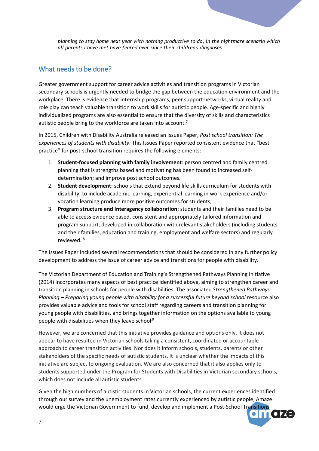

*[planning to stay home next year with nothing productive to do, in the nightmare scenario which](https://www.esurveycreator.com/?url=result_det&uid=1100632&f_rid=40900770)  [all parents I have met have feared ever since their children's diagnoses](https://www.esurveycreator.com/?url=result_det&uid=1100632&f_rid=40900770)*

# <span id="page-6-0"></span>What needs to be done?

Greater government support for career advice activities and transition programs in Victorian secondary schools is urgently needed to bridge the gap between the education environment and the workplace. There is evidence that internship programs, peer support networks, virtual reality and role play can teach valuable transition to work skills for autistic people. Age-specific and highly individualized programs are also essential to ensure that the diversity of skills and characteristics autistic people bring to the workforce are taken into account.<sup>7</sup>

In 2015, Children with Disability Australia released an Issues Paper, *Post school transition: The experiences of students with disability*. This Issues Paper reported consistent evidence that "best practice" for post-school transition requires the following elements:

- 1. **Student-focused planning with family involvement**: person centred and family centred planning that is strengths based and motivating has been found to increased selfdetermination; and improve post school outcomes.
- 2. **Student development**: schools that extend beyond life skills curriculum for students with disability, to include academic learning, experiential learning in work experience and/or vocation learning produce more positive outcomes for students;
- 3. **Program structure and Interagency collaboration**: students and their families need to be able to access evidence based, consistent and appropriately tailored information and program support, developed in collaboration with relevant stakeholders (including students and their families, education and training, employment and welfare sectors) and regularly reviewed. <sup>8</sup>

The Issues Paper included several recommendations that should be considered in any further policy development to address the issue of career advice and transitions for people with disability.

The Victorian Department of Education and Training's Strengthened Pathways Planning Initiative (2014) incorporates many aspects of best practice identified above, aiming to strengthen career and transition planning in schools for people with disabilities. The associated *Strengthened Pathways Planning – Preparing young people with disability for a successful future beyond school* resource also provides valuable advice and tools for school staff regarding careers and transition planning for young people with disabilities, and brings together information on the options available to young people with disabilities when they leave school $9$ 

However, we are concerned that this initiative provides guidance and options only. It does not appear to have resulted in Victorian schools taking a consistent, coordinated or accountable approach to career transition activities. Nor does it inform schools, students, parents or other stakeholders of the specific needs of autistic students. It is unclear whether the impacts of this initiative are subject to ongoing evaluation. We are also concerned that it also applies only to students supported under the Program for Students with Disabilities in Victorian secondary schools, which does not include all autistic students.

Given the high numbers of autistic students in Victorian schools, the current experiences identified through our survey and the unemployment rates currently experienced by autistic people, Amaze would urge the Victorian Government to fund, develop and implement a Post-School Transitions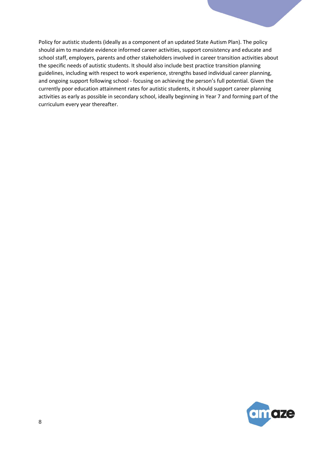Policy for autistic students (ideally as a component of an updated State Autism Plan). The policy should aim to mandate evidence informed career activities, support consistency and educate and school staff, employers, parents and other stakeholders involved in career transition activities about the specific needs of autistic students. It should also include best practice transition planning guidelines, including with respect to work experience, strengths based individual career planning, and ongoing support following school - focusing on achieving the person's full potential. Given the currently poor education attainment rates for autistic students, it should support career planning activities as early as possible in secondary school, ideally beginning in Year 7 and forming part of the curriculum every year thereafter.